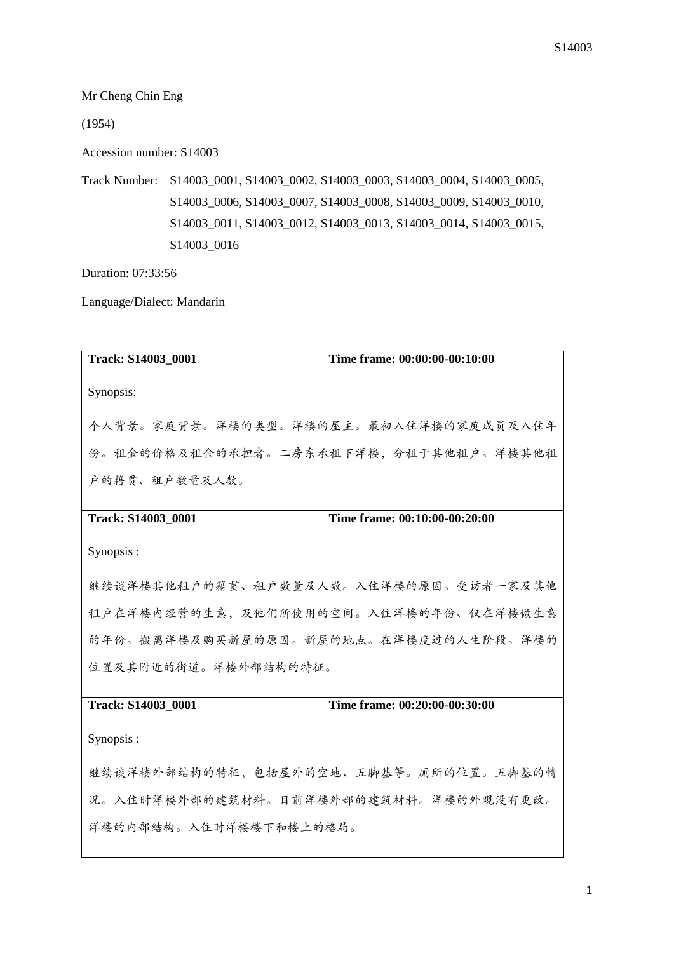Mr Cheng Chin Eng

(1954)

Accession number: S14003

Track Number: S14003\_0001, S14003\_0002, S14003\_0003, S14003\_0004, S14003\_0005, S14003\_0006, S14003\_0007, S14003\_0008, S14003\_0009, S14003\_0010, S14003\_0011, S14003\_0012, S14003\_0013, S14003\_0014, S14003\_0015, S14003\_0016

Duration: 07:33:56

Language/Dialect: Mandarin

| Track: S14003_0001                    | Time frame: 00:00:00-00:10:00         |
|---------------------------------------|---------------------------------------|
| Synopsis:                             |                                       |
|                                       | 个人背景。家庭背景。洋楼的类型。洋楼的屋主。最初入住洋楼的家庭成员及入住年 |
| 份。租金的价格及租金的承担者。二房东承租下洋楼,分租于其他租户。洋楼其他租 |                                       |
| 户的籍贯、租户数量及人数。                         |                                       |
| Track: S14003_0001                    | Time frame: 00:10:00-00:20:00         |
|                                       |                                       |
| Synopsis:                             |                                       |
|                                       | 继续谈洋楼其他租户的籍贯、租户数量及人数。入住洋楼的原因。受访者一家及其他 |
| 租户在洋楼内经营的生意,及他们所使用的空间。入住洋楼的年份、仅在洋楼做生意 |                                       |
| 的年份。搬离洋楼及购买新屋的原因。新屋的地点。在洋楼度过的人生阶段。洋楼的 |                                       |
| 位置及其附近的街道。洋楼外部结构的特征。                  |                                       |
|                                       |                                       |
| Track: S14003_0001                    | Time frame: 00:20:00-00:30:00         |
| Synopsis:                             |                                       |
|                                       | 继续谈洋楼外部结构的特征,包括屋外的空地、五脚基等。厕所的位置。五脚基的情 |
| 况。入住时洋楼外部的建筑材料。目前洋楼外部的建筑材料。洋楼的外观没有更改。 |                                       |
| 洋楼的内部结构。入住时洋楼楼下和楼上的格局。                |                                       |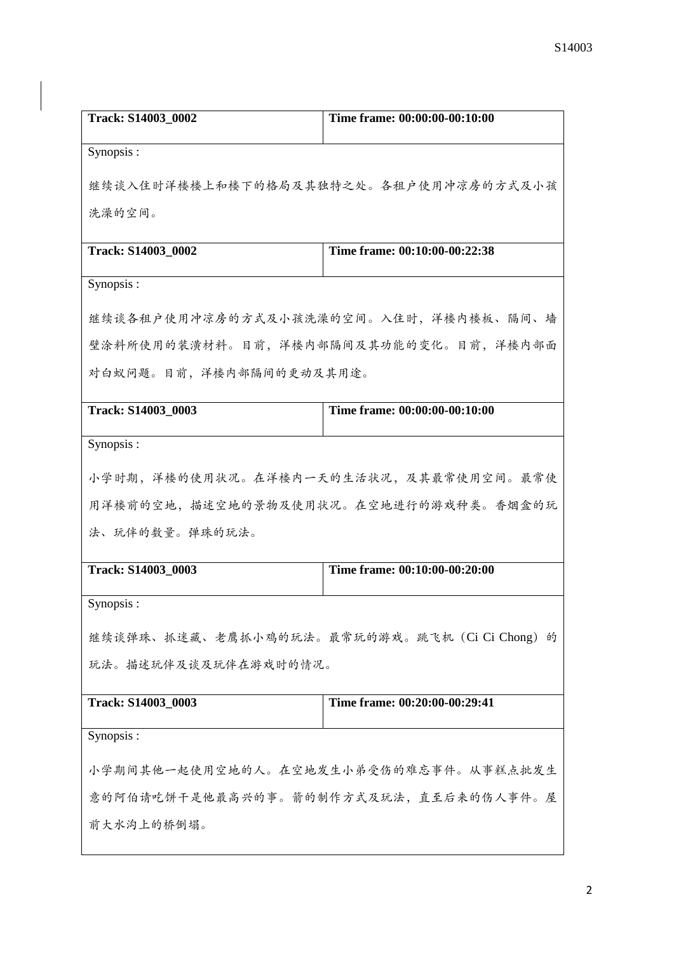| Track: S14003_0002                    | Time frame: 00:00:00-00:10:00                 |
|---------------------------------------|-----------------------------------------------|
| Synopsis:                             |                                               |
|                                       | 继续谈入住时洋楼楼上和楼下的格局及其独特之处。各租户使用冲凉房的方式及小孩         |
| 洗澡的空间。                                |                                               |
| Track: S14003 0002                    | Time frame: 00:10:00-00:22:38                 |
|                                       |                                               |
| Synopsis:                             |                                               |
|                                       | 继续谈各租户使用冲凉房的方式及小孩洗澡的空间。入住时,洋楼内楼板、隔间、墙         |
|                                       | 壁涂料所使用的装潢材料。目前,洋楼内部隔间及其功能的变化。目前,洋楼内部面         |
| 对白蚁问题。目前,洋楼内部隔间的更动及其用途。               |                                               |
| Track: S14003_0003                    | Time frame: 00:00:00-00:10:00                 |
|                                       |                                               |
| Synopsis:                             |                                               |
|                                       | 小学时期,洋楼的使用状况。在洋楼内一天的生活状况,及其最常使用空间。最常使         |
|                                       | 用洋楼前的空地,描述空地的景物及使用状况。在空地进行的游戏种类。香烟盒的玩         |
| 法、玩伴的数量。弹珠的玩法。                        |                                               |
| Track: S14003 0003                    | Time frame: 00:10:00-00:20:00                 |
| Synopsis :                            |                                               |
|                                       | 继续谈弹珠、抓迷藏、老鹰抓小鸡的玩法。最常玩的游戏。跳飞机 (Ci Ci Chong) 的 |
| 玩法。描述玩伴及谈及玩伴在游戏时的情况。                  |                                               |
| Track: S14003_0003                    | Time frame: 00:20:00-00:29:41                 |
| Synopsis:                             |                                               |
|                                       | 小学期间其他一起使用空地的人。在空地发生小弟受伤的难忘事件。从事糕点批发生         |
| 意的阿伯请吃饼干是他最高兴的事。箭的制作方式及玩法,直至后来的伤人事件。屋 |                                               |
| 前大水沟上的桥倒塌。                            |                                               |
|                                       |                                               |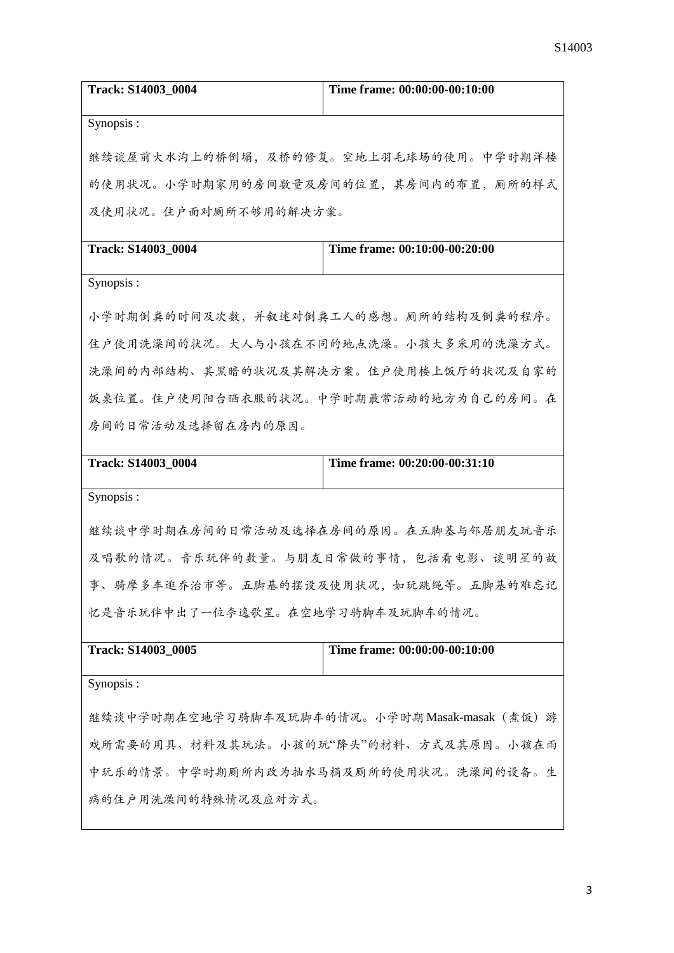| <b>Track: S14003 0004</b> | Time frame: $00:00:00-00:10:00$ |
|---------------------------|---------------------------------|
|                           |                                 |

继续谈屋前大水沟上的桥倒塌,及桥的修复。空地上羽毛球场的使用。中学时期洋楼 的使用状况。小学时期家用的房间数量及房间的位置,其房间内的布置,厕所的样式 及使用状况。住户面对厕所不够用的解决方案。

| <b>Track: S14003 0004</b> | Time frame: $00:10:00-00:20:00$ |
|---------------------------|---------------------------------|
|                           |                                 |

Synopsis :

小学时期倒粪的时间及次数,并叙述对倒粪工人的感想。厕所的结构及倒粪的程序。 住户使用洗澡间的状况。大人与小孩在不同的地点洗澡。小孩大多采用的洗澡方式。 洗澡间的内部结构、其黑暗的状况及其解决方案。住户使用楼上饭厅的状况及自家的 饭桌位置。住户使用阳台晒衣服的状况。中学时期最常活动的地方为自己的房间。在 房间的日常活动及选择留在房内的原因。

**Track: S14003\_0004 Time frame: 00:20:00-00:31:10** 

Synopsis :

继续谈中学时期在房间的日常活动及选择在房间的原因。在五脚基与邻居朋友玩音乐 及唱歌的情况。音乐玩伴的数量。与朋友日常做的事情,包括看电影、谈明星的故 事、骑摩多车逛乔治市等。五脚基的摆设及使用状况,如玩跳绳等。五脚基的难忘记 忆是音乐玩伴中出了一位李逸歌星。在空地学习骑脚车及玩脚车的情况。

**Track: S14003\_0005 Time frame: 00:00:00-00:10:00** Synopsis : 继续谈中学时期在空地学习骑脚车及玩脚车的情况。小学时期 Masak-masak (煮饭) 游 戏所需要的用具、材料及其玩法。小孩的玩"降头"的材料、方式及其原因。小孩在雨 中玩乐的情景。中学时期厕所内改为抽水马桶及厕所的使用状况。洗澡间的设备。生 病的住户用洗澡间的特殊情况及应对方式。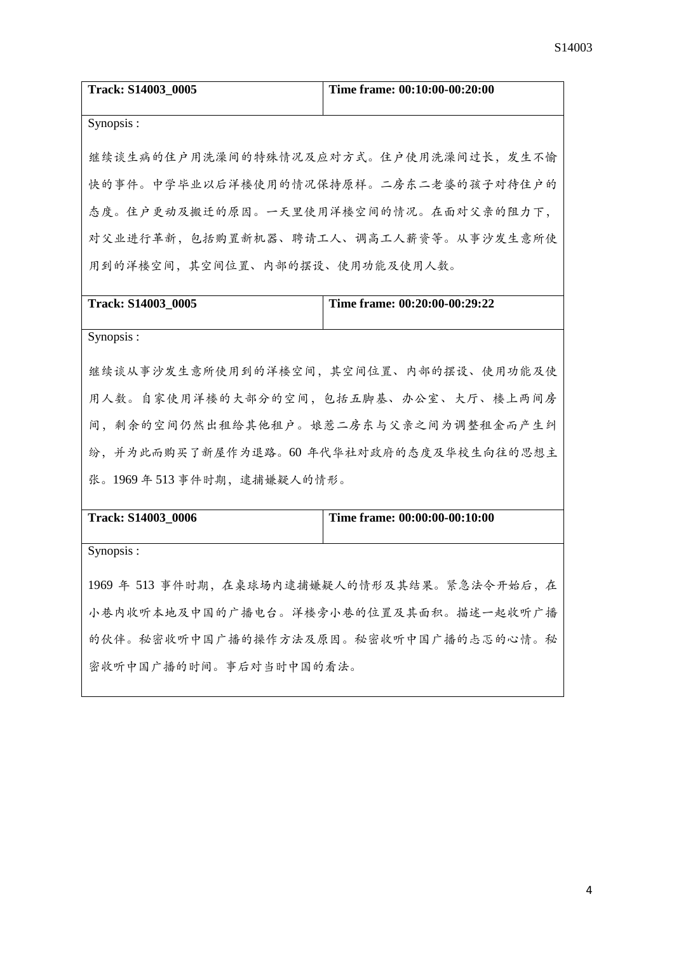| Track: S14003 0005 | Time frame: 00:10:00-00:20:00 |
|--------------------|-------------------------------|
|                    |                               |

继续谈生病的住户用洗澡间的特殊情况及应对方式。住户使用洗澡间过长,发生不愉 快的事件。中学毕业以后洋楼使用的情况保持原样。二房东二老婆的孩子对待住户的 态度。住户更动及搬迁的原因。一天里使用洋楼空间的情况。在面对父亲的阻力下, 对父业进行革新,包括购置新机器、聘请工人、调高工人薪资等。从事沙发生意所使 用到的洋楼空间,其空间位置、内部的摆设、使用功能及使用人数。

**Track: S14003\_0005 Time frame: 00:20:00-00:29:22** 

Synopsis :

继续谈从事沙发生意所使用到的洋楼空间,其空间位置、内部的摆设、使用功能及使 用人数。自家使用洋楼的大部分的空间,包括五脚基、办公室、大厅、楼上两间房 间,剩余的空间仍然出租给其他租户。娘惹二房东与父亲之间为调整租金而产生纠 纷,并为此而购买了新屋作为退路。60 年代华社对政府的态度及华校生向往的思想主 张。1969年513事件时期,逮捕嫌疑人的情形。

| <b>Track: S14003 0006</b>                    | Time frame: 00:00:00-00:10:00         |
|----------------------------------------------|---------------------------------------|
| Synopsis :                                   |                                       |
| 1969年 513 事件时期, 在桌球场内逮捕嫌疑人的情形及其结果。紧急法令开始后, 在 |                                       |
|                                              | 小巷内收听本地及中国的广播电台。洋楼旁小巷的位置及其面积。描述一起收听广播 |
|                                              | 的伙伴。秘密收听中国广播的操作方法及原因。秘密收听中国广播的忐忑的心情。秘 |
| 密收听中国广播的时间。事后对当时中国的看法。                       |                                       |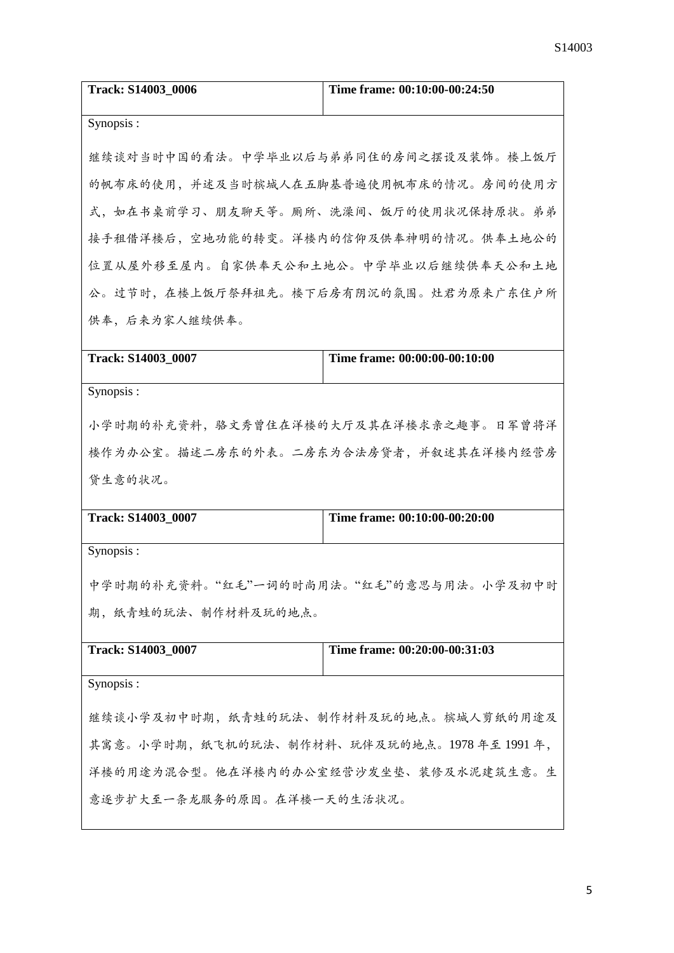| <b>Track: S14003 0006</b> | Time frame: 00:10:00-00:24:50 |
|---------------------------|-------------------------------|
|                           |                               |

继续谈对当时中国的看法。中学毕业以后与弟弟同住的房间之摆设及装饰。楼上饭厅 的帆布床的使用,并述及当时槟城人在五脚基普遍使用帆布床的情况。房间的使用方 式,如在书桌前学习、朋友聊天等。厕所、洗澡间、饭厅的使用状况保持原状。弟弟 接手租借洋楼后,空地功能的转变。洋楼内的信仰及供奉神明的情况。供奉土地公的 位置从屋外移至屋内。自家供奉天公和土地公。中学毕业以后继续供奉天公和土地 公。过节时,在楼上饭厅祭拜祖先。楼下后房有阴沉的氛围。灶君为原来广东住户所 供奉,后来为家人继续供奉。

| <b>Track: S14003 0007</b> | Time frame: 00:00:00-00:10:00 |
|---------------------------|-------------------------------|
|                           |                               |

Synopsis :

小学时期的补充资料,骆文秀曾住在洋楼的大厅及其在洋楼求亲之趣事。日军曾将洋 楼作为办公室。描述二房东的外表。二房东为合法房贷者,并叙述其在洋楼内经营房 贷生意的状况。

| <b>Track: S14003 0007</b> | Time frame: 00:10:00-00:20:00 |
|---------------------------|-------------------------------|
|                           |                               |

Synopsis :

中学时期的补充资料。"红毛"一词的时尚用法。"红毛"的意思与用法。小学及初中时 期,纸青蛙的玩法、制作材料及玩的地点。

| Track: S14003 0007                        | Time frame: 00:20:00-00:31:03         |
|-------------------------------------------|---------------------------------------|
|                                           |                                       |
| Synopsis :                                |                                       |
|                                           |                                       |
|                                           | 继续谈小学及初中时期,纸青蛙的玩法、制作材料及玩的地点。槟城人剪纸的用途及 |
| 其寓意。小学时期,纸飞机的玩法、制作材料、玩伴及玩的地点。1978年至1991年, |                                       |
|                                           |                                       |
| 洋楼的用途为混合型。他在洋楼内的办公室经营沙发坐垫、装修及水泥建筑生意。生     |                                       |
| 意逐步扩大至一条龙服务的原因。在洋楼一天的生活状况。                |                                       |
|                                           |                                       |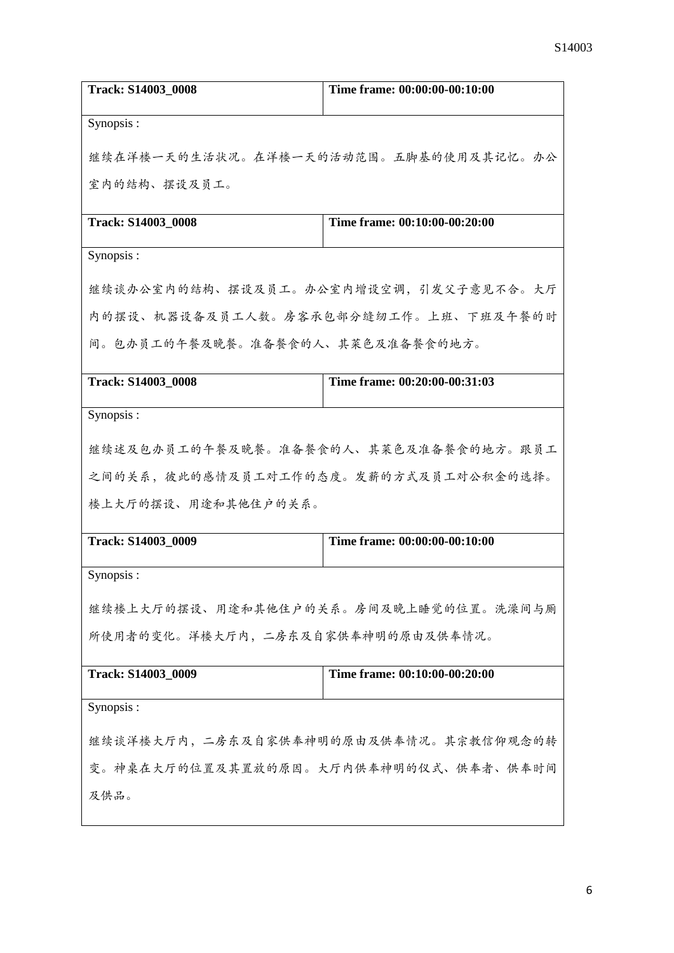| Track: S14003_0008                    | Time frame: 00:00:00-00:10:00         |  |
|---------------------------------------|---------------------------------------|--|
| Synopsis:                             |                                       |  |
|                                       | 继续在洋楼一天的生活状况。在洋楼一天的活动范围。五脚基的使用及其记忆。办公 |  |
| 室内的结构、摆设及员工。                          |                                       |  |
| Track: S14003_0008                    | Time frame: 00:10:00-00:20:00         |  |
|                                       |                                       |  |
| Synopsis:                             |                                       |  |
|                                       | 继续谈办公室内的结构、摆设及员工。办公室内增设空调,引发父子意见不合。大厅 |  |
|                                       | 内的摆设、机器设备及员工人数。房客承包部分缝纫工作。上班、下班及午餐的时  |  |
| 间。包办员工的午餐及晚餐。准备餐食的人、其菜色及准备餐食的地方。      |                                       |  |
| <b>Track: S14003 0008</b>             | Time frame: 00:20:00-00:31:03         |  |
| Synopsis:                             |                                       |  |
|                                       |                                       |  |
|                                       | 继续述及包办员工的午餐及晚餐。准备餐食的人、其菜色及准备餐食的地方。跟员工 |  |
| 之间的关系,彼此的感情及员工对工作的态度。发薪的方式及员工对公积金的选择。 |                                       |  |
| 楼上大厅的摆设、用途和其他住户的关系。                   |                                       |  |
| Track: S14003 0009                    | Time frame: 00:00:00-00:10:00         |  |
| Synopsis:                             |                                       |  |
|                                       | 继续楼上大厅的摆设、用途和其他住户的关系。房间及晚上睡觉的位置。洗澡间与厕 |  |
| 所使用者的变化。洋楼大厅内,二房东及自家供奉神明的原由及供奉情况。     |                                       |  |
| Track: S14003_0009                    | Time frame: 00:10:00-00:20:00         |  |
| Synopsis:                             |                                       |  |
| 继续谈洋楼大厅内,二房东及自家供奉神明的原由及供奉情况。其宗教信仰观念的转 |                                       |  |
|                                       | 变。神桌在大厅的位置及其置放的原因。大厅内供奉神明的仪式、供奉者、供奉时间 |  |
| 及供品。                                  |                                       |  |
|                                       |                                       |  |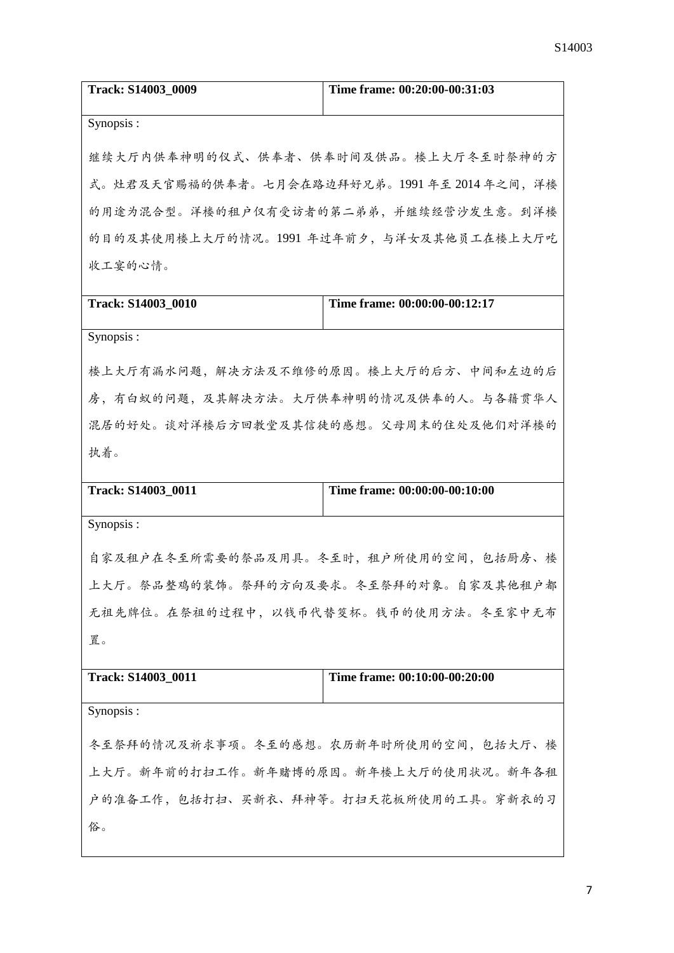| <b>Track: S14003 0009</b> | Time frame: $00:20:00-00:31:03$ |
|---------------------------|---------------------------------|
|                           |                                 |

继续大厅内供奉神明的仪式、供奉者、供奉时间及供品。楼上大厅冬至时祭神的方 式。灶君及天官赐福的供奉者。七月会在路边拜好兄弟。1991 年至 2014 年之间,洋楼 的用途为混合型。洋楼的租户仅有受访者的第二弟弟,并继续经营沙发生意。到洋楼 的目的及其使用楼上大厅的情况。1991 年过年前夕,与洋女及其他员工在楼上大厅吃 收工宴的心情。

**Track: S14003\_0010 Time frame: 00:00:00-00:12:17** 

Synopsis :

楼上大厅有漏水问题,解决方法及不维修的原因。楼上大厅的后方、中间和左边的后 房,有白蚁的问题,及其解决方法。大厅供奉神明的情况及供奉的人。与各籍贯华人 混居的好处。谈对洋楼后方回教堂及其信徒的感想。父母周末的住处及他们对洋楼的 执着。

| <b>Track: S14003 0011</b> | Time frame: 00:00:00-00:10:00 |
|---------------------------|-------------------------------|
|                           |                               |

Synopsis :

自家及租户在冬至所需要的祭品及用具。冬至时,租户所使用的空间,包括厨房、楼 上大厅。祭品整鸡的装饰。祭拜的方向及要求。冬至祭拜的对象。自家及其他租户都 无祖先牌位。在祭祖的过程中,以钱币代替筊杯。钱币的使用方法。冬至家中无布 置。

| <b>Track: S14003 0011</b>             | Time frame: 00:10:00-00:20:00 |
|---------------------------------------|-------------------------------|
| Synopsis:                             |                               |
| 冬至祭拜的情况及祈求事项。冬至的感想。农历新年时所使用的空间,包括大厅、楼 |                               |
| 上大厅。新年前的打扫工作。新年赌博的原因。新年楼上大厅的使用状况。新年各租 |                               |
| 户的准备工作,包括打扫、买新衣、拜神等。打扫天花板所使用的工具。穿新衣的习 |                               |
| 俗。                                    |                               |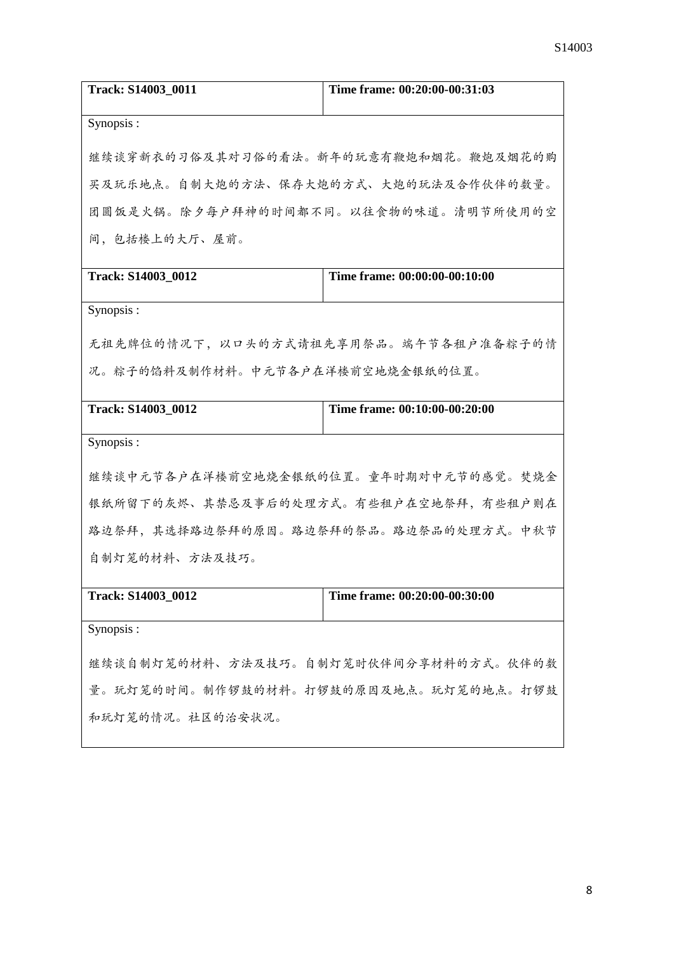| Track: S14003_0011                    | Time frame: 00:20:00-00:31:03 |  |
|---------------------------------------|-------------------------------|--|
| Synopsis:                             |                               |  |
| 继续谈穿新衣的习俗及其对习俗的看法。新年的玩意有鞭炮和烟花。鞭炮及烟花的购 |                               |  |
| 买及玩乐地点。自制大炮的方法、保存大炮的方式、大炮的玩法及合作伙伴的数量。 |                               |  |
| 团圆饭是火锅。除夕每户拜神的时间都不同。以往食物的味道。清明节所使用的空  |                               |  |
| 间,包括楼上的大厅、屋前。                         |                               |  |
| Track: S14003_0012                    | Time frame: 00:00:00-00:10:00 |  |
| Synopsis:                             |                               |  |
| 无祖先牌位的情况下,以口头的方式请祖先享用祭品。端午节各租户准备粽子的情  |                               |  |
| 况。粽子的馅料及制作材料。中元节各户在洋楼前空地烧金银纸的位置。      |                               |  |
| Track: S14003_0012                    | Time frame: 00:10:00-00:20:00 |  |
| Synopsis:                             |                               |  |
| 继续谈中元节各户在洋楼前空地烧金银纸的位置。童年时期对中元节的感觉。焚烧金 |                               |  |
| 银纸所留下的灰烬、其禁忌及事后的处理方式。有些租户在空地祭拜,有些租户则在 |                               |  |
| 路边祭拜,其选择路边祭拜的原因。路边祭拜的祭品。路边祭品的处理方式。中秋节 |                               |  |
| 自制灯笼的材料、方法及技巧。                        |                               |  |
| Track: S14003_0012                    | Time frame: 00:20:00-00:30:00 |  |
| Synopsis:                             |                               |  |
| 继续谈自制灯笼的材料、方法及技巧。自制灯笼时伙伴间分享材料的方式。伙伴的数 |                               |  |
| 量。玩灯笼的时间。制作锣鼓的材料。打锣鼓的原因及地点。玩灯笼的地点。打锣鼓 |                               |  |
| 和玩灯笼的情况。社区的治安状况。                      |                               |  |
|                                       |                               |  |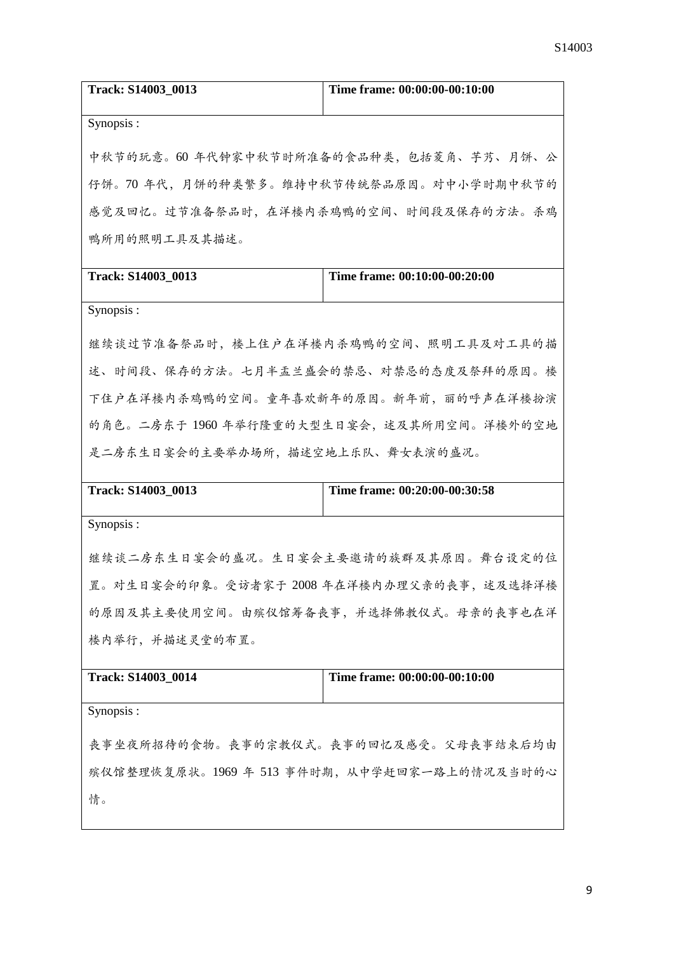| <b>Track: S14003 0013</b> | Time frame: 00:00:00-00:10:00 |
|---------------------------|-------------------------------|
|                           |                               |

中秋节的玩意。60 年代钟家中秋节时所准备的食品种类,包括菱角、芋艿、月饼、公 仔饼。70 年代,月饼的种类繁多。维持中秋节传统祭品原因。对中小学时期中秋节的 感觉及回忆。过节准备祭品时,在洋楼内杀鸡鸭的空间、时间段及保存的方法。杀鸡 鸭所用的照明工具及其描述。

| <b>Track: S14003 0013</b> |  |
|---------------------------|--|

**Time frame: 00:10:00-00:20:00** 

Synopsis :

继续谈过节准备祭品时,楼上住户在洋楼内杀鸡鸭的空间、照明工具及对工具的描 述、时间段、保存的方法。七月半盂兰盛会的禁忌、对禁忌的态度及祭拜的原因。楼 下住户在洋楼内杀鸡鸭的空间。童年喜欢新年的原因。新年前,丽的呼声在洋楼扮演 的角色。二房东于 1960 年举行隆重的大型生日宴会,述及其所用空间。洋楼外的空地 是二房东生日宴会的主要举办场所,描述空地上乐队、舞女表演的盛况。

| <b>Track: S14003 0013</b> | Time frame: 00:20:00-00:30:58 |
|---------------------------|-------------------------------|
|                           |                               |

Synopsis :

继续谈二房东生日宴会的盛况。生日宴会主要邀请的族群及其原因。舞台设定的位 置。对生日宴会的印象。受访者家于 2008 年在洋楼内办理父亲的丧事,述及选择洋楼 的原因及其主要使用空间。由殡仪馆筹备丧事,并选择佛教仪式。母亲的丧事也在洋 楼内举行,并描述灵堂的布置。

| Track: S14003_0014                          | Time frame: 00:00:00-00:10:00 |
|---------------------------------------------|-------------------------------|
| Synopsis :                                  |                               |
| 丧事坐夜所招待的食物。丧事的宗教仪式。丧事的回忆及感受。父母丧事结束后均由       |                               |
| 殡仪馆整理恢复原状。1969年 513 事件时期, 从中学赶回家一路上的情况及当时的心 |                               |

情。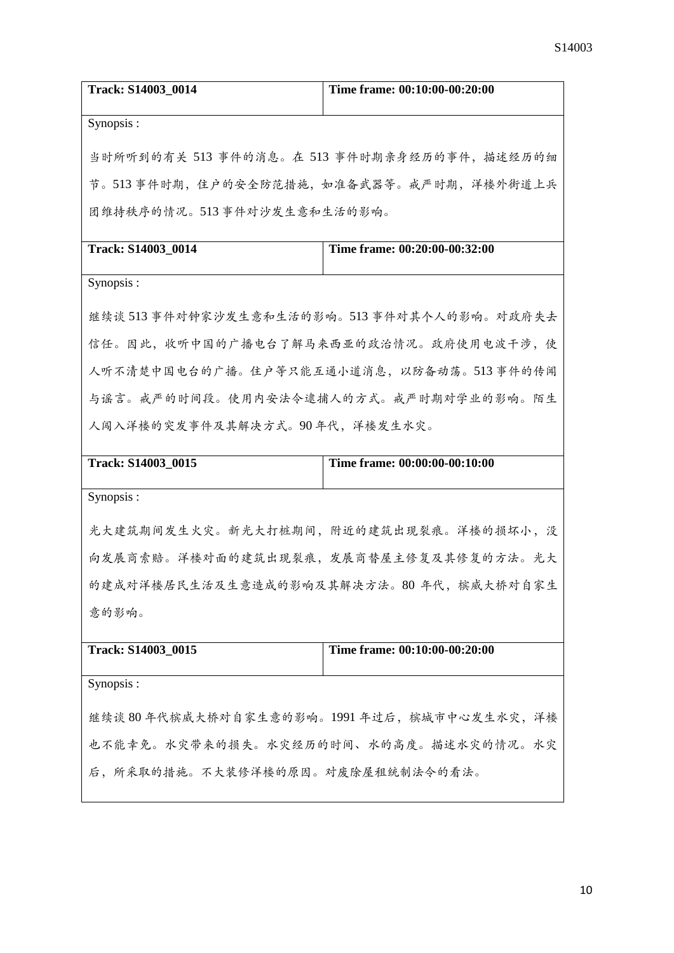| Track: S14003 0014 | Time frame: $00:10:00-00:20:00$ |
|--------------------|---------------------------------|
|                    |                                 |

当时所听到的有关 513 事件的消息。在 513 事件时期亲身经历的事件,描述经历的细 节。513 事件时期, 住户的安全防范措施, 如准备武器等。戒严时期, 洋楼外街道上兵 团维持秩序的情况。513 事件对沙发生意和生活的影响。

| <b>Track: S14003 0014</b> | Time frame: $00:20:00-00:32:00$ |
|---------------------------|---------------------------------|
|                           |                                 |

Synopsis :

继续谈 513 事件对钟家沙发生意和生活的影响。513 事件对其个人的影响。对政府失去 信任。因此,收听中国的广播电台了解马来西亚的政治情况。政府使用电波干涉,使 人听不清楚中国电台的广播。住户等只能互通小道消息,以防备动荡。513 事件的传闻 与谣言。戒严的时间段。使用内安法令逮捕人的方式。戒严时期对学业的影响。陌生 人闯入洋楼的突发事件及其解决方式。90 年代,洋楼发生水灾。

**Track: S14003\_0015 Time frame: 00:00:00-00:10:00** 

Synopsis :

光大建筑期间发生火灾。新光大打桩期间,附近的建筑出现裂痕。洋楼的损坏小,没 向发展商索赔。洋楼对面的建筑出现裂痕,发展商替屋主修复及其修复的方法。光大 的建成对洋楼居民生活及生意造成的影响及其解决方法。80 年代,槟威大桥对自家生 意的影响。

**Track: S14003\_0015 Time frame: 00:10:00-00:20:00** Synopsis : 继续谈 80 年代槟威大桥对自家生意的影响。1991 年过后,槟城市中心发生水灾,洋楼 也不能幸免。水灾带来的损失。水灾经历的时间、水的高度。描述水灾的情况。水灾 后,所采取的措施。不大装修洋楼的原因。对废除屋租统制法令的看法。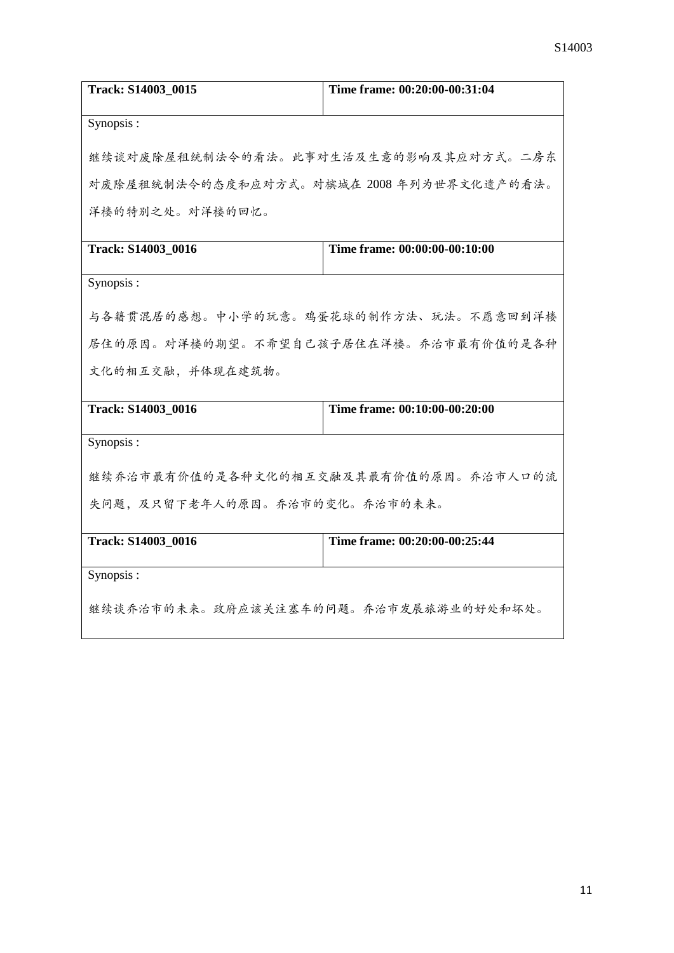| Track: S14003 0015                        | Time frame: 00:20:00-00:31:04 |  |
|-------------------------------------------|-------------------------------|--|
| Synopsis:                                 |                               |  |
| 继续谈对废除屋租统制法令的看法。此事对生活及生意的影响及其应对方式。二房东     |                               |  |
| 对废除屋租统制法令的态度和应对方式。对槟城在 2008 年列为世界文化遗产的看法。 |                               |  |
| 洋楼的特别之处。对洋楼的回忆。                           |                               |  |
| Track: S14003_0016                        | Time frame: 00:00:00-00:10:00 |  |
| Synopsis:                                 |                               |  |
| 与各籍贯混居的感想。中小学的玩意。鸡蛋花球的制作方法、玩法。不愿意回到洋楼     |                               |  |
| 居住的原因。对洋楼的期望。不希望自己孩子居住在洋楼。乔治市最有价值的是各种     |                               |  |
| 文化的相互交融,并体现在建筑物。                          |                               |  |
| Track: S14003_0016                        | Time frame: 00:10:00-00:20:00 |  |
| Synopsis:                                 |                               |  |
| 继续乔治市最有价值的是各种文化的相互交融及其最有价值的原因。乔治市人口的流     |                               |  |
| 失问题,及只留下老年人的原因。乔治市的变化。乔治市的未来。             |                               |  |
| Track: S14003_0016                        | Time frame: 00:20:00-00:25:44 |  |
| Synopsis:                                 |                               |  |
| 继续谈乔治市的未来。政府应该关注塞车的问题。乔治市发展旅游业的好处和坏处。     |                               |  |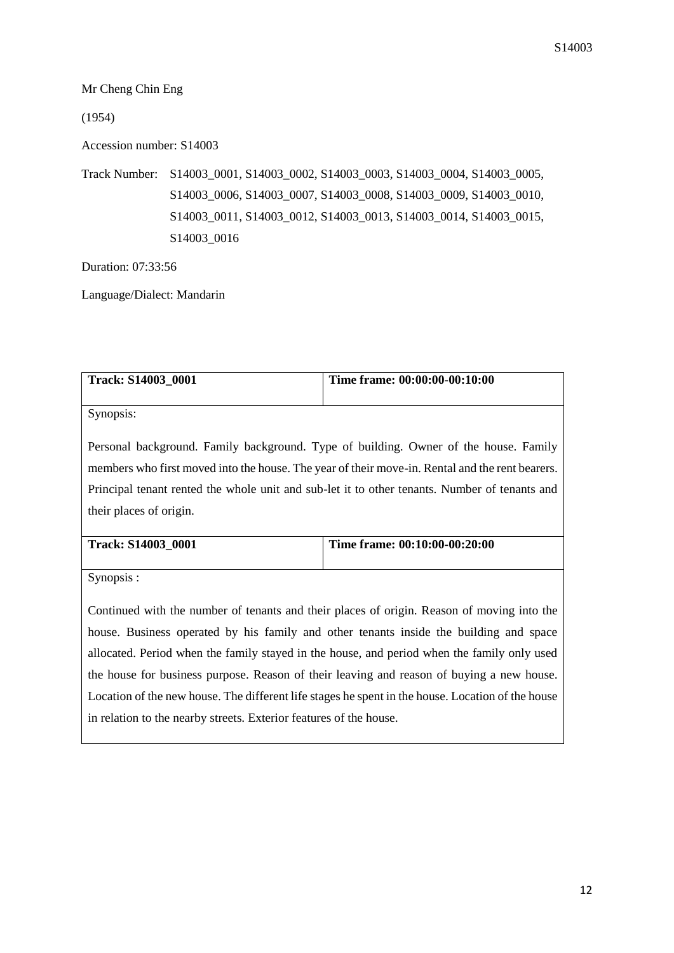## Mr Cheng Chin Eng

(1954)

Accession number: S14003

Track Number: S14003\_0001, S14003\_0002, S14003\_0003, S14003\_0004, S14003\_0005, S14003\_0006, S14003\_0007, S14003\_0008, S14003\_0009, S14003\_0010, S14003\_0011, S14003\_0012, S14003\_0013, S14003\_0014, S14003\_0015, S14003\_0016

Duration: 07:33:56

Language/Dialect: Mandarin

| <b>Track: S14003 0001</b>                                                                       | Time frame: 00:00:00-00:10:00 |  |
|-------------------------------------------------------------------------------------------------|-------------------------------|--|
|                                                                                                 |                               |  |
| Synopsis:                                                                                       |                               |  |
|                                                                                                 |                               |  |
| Personal background. Family background. Type of building. Owner of the house. Family            |                               |  |
| members who first moved into the house. The year of their move-in. Rental and the rent bearers. |                               |  |
| Principal tenant rented the whole unit and sub-let it to other tenants. Number of tenants and   |                               |  |
| their places of origin.                                                                         |                               |  |
|                                                                                                 |                               |  |

| <b>Track: S14003 0001</b> | Time frame: $00:10:00-00:20:00$ |
|---------------------------|---------------------------------|
|                           |                                 |

Synopsis :

Continued with the number of tenants and their places of origin. Reason of moving into the house. Business operated by his family and other tenants inside the building and space allocated. Period when the family stayed in the house, and period when the family only used the house for business purpose. Reason of their leaving and reason of buying a new house. Location of the new house. The different life stages he spent in the house. Location of the house in relation to the nearby streets. Exterior features of the house.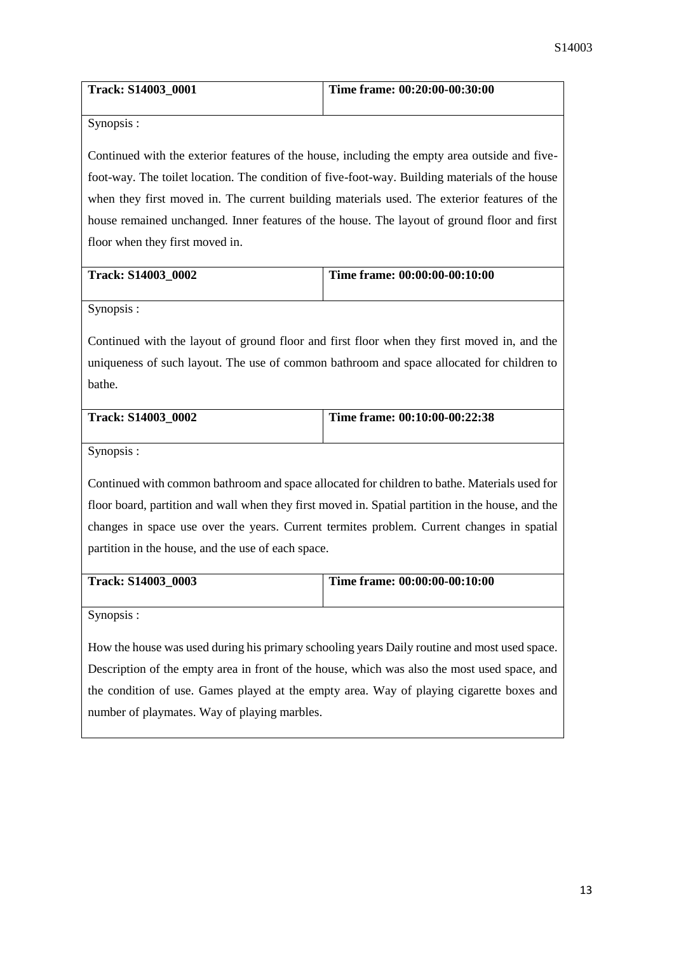| Track: S14003 0001 | Time frame: 00:20:00-00:30:00 |
|--------------------|-------------------------------|
|                    |                               |

Continued with the exterior features of the house, including the empty area outside and fivefoot-way. The toilet location. The condition of five-foot-way. Building materials of the house when they first moved in. The current building materials used. The exterior features of the house remained unchanged. Inner features of the house. The layout of ground floor and first floor when they first moved in.

| <b>Track: S14003 0002</b> | Time frame: $00:00:00-00:10:00$ |
|---------------------------|---------------------------------|
|                           |                                 |

Synopsis :

Continued with the layout of ground floor and first floor when they first moved in, and the uniqueness of such layout. The use of common bathroom and space allocated for children to bathe.

| <b>Track: S14003 0002</b> | Time frame: 00:10:00-00:22:38 |
|---------------------------|-------------------------------|
|                           |                               |

Synopsis :

Continued with common bathroom and space allocated for children to bathe. Materials used for floor board, partition and wall when they first moved in. Spatial partition in the house, and the changes in space use over the years. Current termites problem. Current changes in spatial partition in the house, and the use of each space.

| <b>Track: S14003 0003</b> | Time frame: 00:00:00-00:10:00 |
|---------------------------|-------------------------------|
|                           |                               |

Synopsis :

How the house was used during his primary schooling years Daily routine and most used space. Description of the empty area in front of the house, which was also the most used space, and the condition of use. Games played at the empty area. Way of playing cigarette boxes and number of playmates. Way of playing marbles.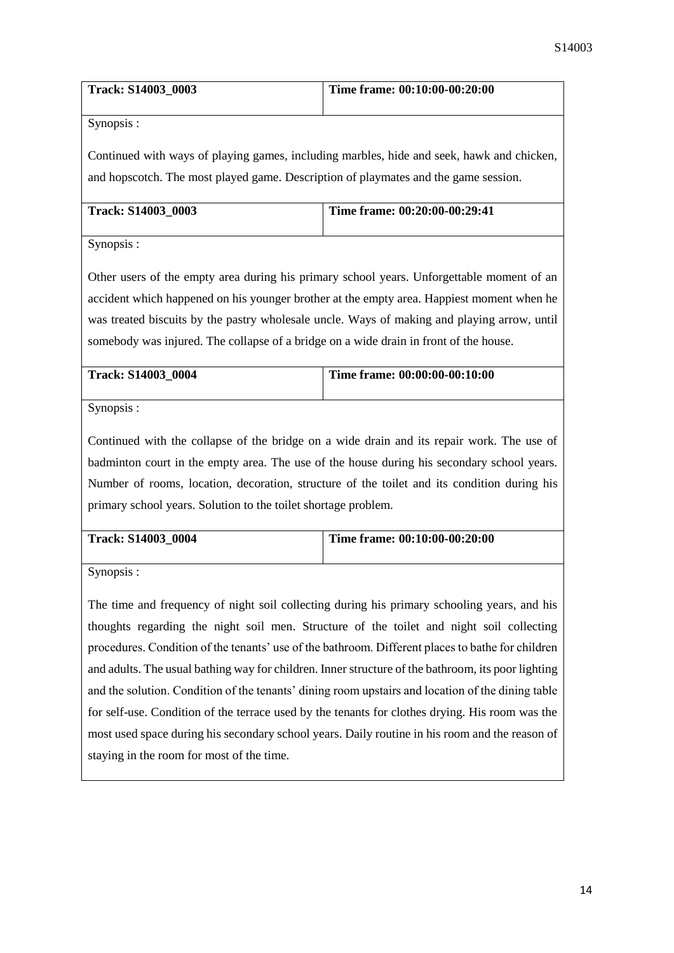| <b>Track: S14003 0003</b> | Time frame: 00:10:00-00:20:00 |
|---------------------------|-------------------------------|
|                           |                               |

Continued with ways of playing games, including marbles, hide and seek, hawk and chicken, and hopscotch. The most played game. Description of playmates and the game session.

| <b>Track: S14003 0003</b> | Time frame: 00:20:00-00:29:41 |
|---------------------------|-------------------------------|
|                           |                               |

Synopsis :

Other users of the empty area during his primary school years. Unforgettable moment of an accident which happened on his younger brother at the empty area. Happiest moment when he was treated biscuits by the pastry wholesale uncle. Ways of making and playing arrow, until somebody was injured. The collapse of a bridge on a wide drain in front of the house.

| <b>Track: S14003 0004</b> | Time frame: 00:00:00-00:10:00 |
|---------------------------|-------------------------------|
|                           |                               |

Synopsis :

Continued with the collapse of the bridge on a wide drain and its repair work. The use of badminton court in the empty area. The use of the house during his secondary school years. Number of rooms, location, decoration, structure of the toilet and its condition during his primary school years. Solution to the toilet shortage problem.

| <b>Track: S14003 0004</b> | Time frame: 00:10:00-00:20:00 |
|---------------------------|-------------------------------|
|                           |                               |

Synopsis :

The time and frequency of night soil collecting during his primary schooling years, and his thoughts regarding the night soil men. Structure of the toilet and night soil collecting procedures. Condition of the tenants' use of the bathroom. Different places to bathe for children and adults. The usual bathing way for children. Inner structure of the bathroom, its poor lighting and the solution. Condition of the tenants' dining room upstairs and location of the dining table for self-use. Condition of the terrace used by the tenants for clothes drying. His room was the most used space during his secondary school years. Daily routine in his room and the reason of staying in the room for most of the time.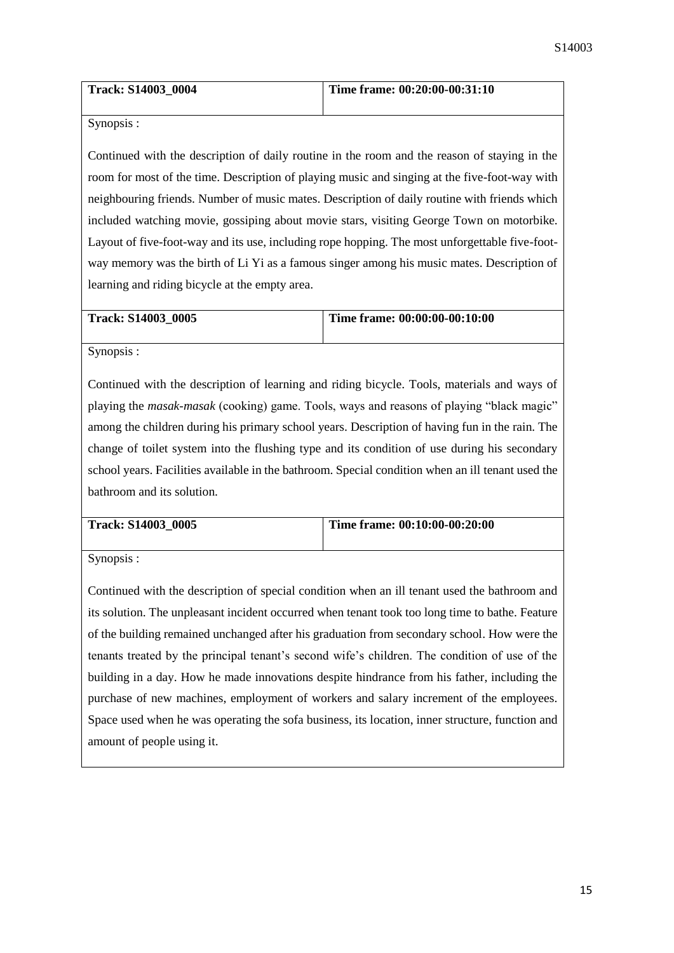| <b>Track: S14003 0004</b> | Time frame: 00:20:00-00:31:10 |
|---------------------------|-------------------------------|
|                           |                               |

Continued with the description of daily routine in the room and the reason of staying in the room for most of the time. Description of playing music and singing at the five-foot-way with neighbouring friends. Number of music mates. Description of daily routine with friends which included watching movie, gossiping about movie stars, visiting George Town on motorbike. Layout of five-foot-way and its use, including rope hopping. The most unforgettable five-footway memory was the birth of Li Yi as a famous singer among his music mates. Description of learning and riding bicycle at the empty area.

| <b>Track: S14003 0005</b> | Time frame: 00:00:00-00:10:00 |
|---------------------------|-------------------------------|
|                           |                               |

Synopsis :

Continued with the description of learning and riding bicycle. Tools, materials and ways of playing the *masak-masak* (cooking) game. Tools, ways and reasons of playing "black magic" among the children during his primary school years. Description of having fun in the rain. The change of toilet system into the flushing type and its condition of use during his secondary school years. Facilities available in the bathroom. Special condition when an ill tenant used the bathroom and its solution.

| <b>Track: S14003 0005</b> | Time frame: 00:10:00-00:20:00 |
|---------------------------|-------------------------------|
|                           |                               |

Synopsis :

Continued with the description of special condition when an ill tenant used the bathroom and its solution. The unpleasant incident occurred when tenant took too long time to bathe. Feature of the building remained unchanged after his graduation from secondary school. How were the tenants treated by the principal tenant's second wife's children. The condition of use of the building in a day. How he made innovations despite hindrance from his father, including the purchase of new machines, employment of workers and salary increment of the employees. Space used when he was operating the sofa business, its location, inner structure, function and amount of people using it.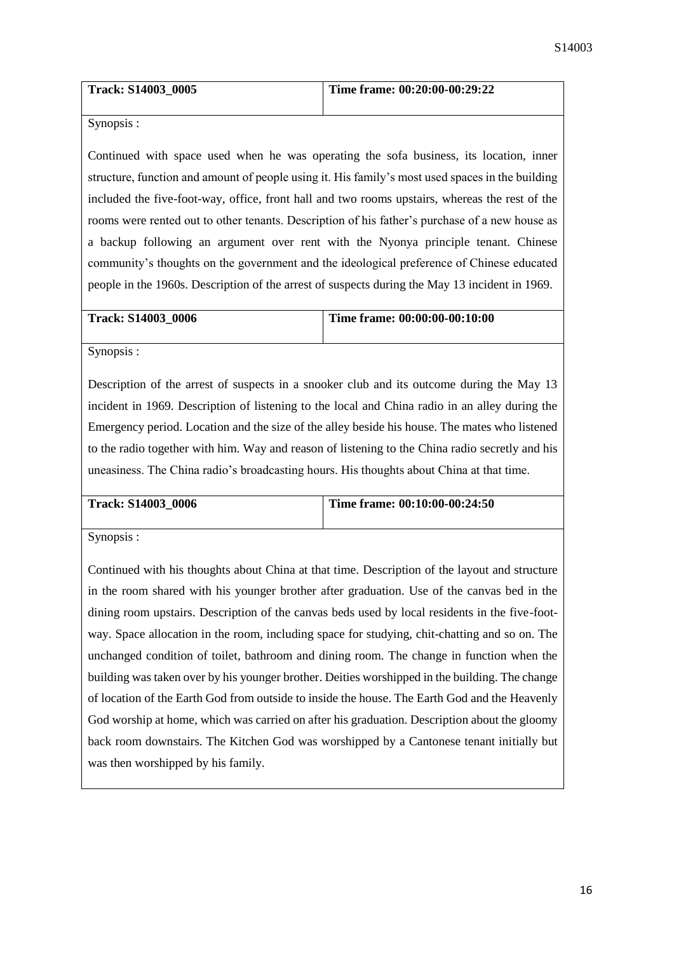| <b>Track: S14003 0005</b> | Time frame: $00:20:00-00:29:22$ |
|---------------------------|---------------------------------|
|                           |                                 |

Continued with space used when he was operating the sofa business, its location, inner structure, function and amount of people using it. His family's most used spaces in the building included the five-foot-way, office, front hall and two rooms upstairs, whereas the rest of the rooms were rented out to other tenants. Description of his father's purchase of a new house as a backup following an argument over rent with the Nyonya principle tenant. Chinese community's thoughts on the government and the ideological preference of Chinese educated people in the 1960s. Description of the arrest of suspects during the May 13 incident in 1969.

| <b>Track: S14003 0006</b> | Time frame: 00:00:00-00:10:00 |
|---------------------------|-------------------------------|
|                           |                               |

Synopsis :

Description of the arrest of suspects in a snooker club and its outcome during the May 13 incident in 1969. Description of listening to the local and China radio in an alley during the Emergency period. Location and the size of the alley beside his house. The mates who listened to the radio together with him. Way and reason of listening to the China radio secretly and his uneasiness. The China radio's broadcasting hours. His thoughts about China at that time.

| <b>Track: S14003 0006</b> | Time frame: 00:10:00-00:24:50 |
|---------------------------|-------------------------------|
|                           |                               |

Synopsis :

Continued with his thoughts about China at that time. Description of the layout and structure in the room shared with his younger brother after graduation. Use of the canvas bed in the dining room upstairs. Description of the canvas beds used by local residents in the five-footway. Space allocation in the room, including space for studying, chit-chatting and so on. The unchanged condition of toilet, bathroom and dining room. The change in function when the building was taken over by his younger brother. Deities worshipped in the building. The change of location of the Earth God from outside to inside the house. The Earth God and the Heavenly God worship at home, which was carried on after his graduation. Description about the gloomy back room downstairs. The Kitchen God was worshipped by a Cantonese tenant initially but was then worshipped by his family.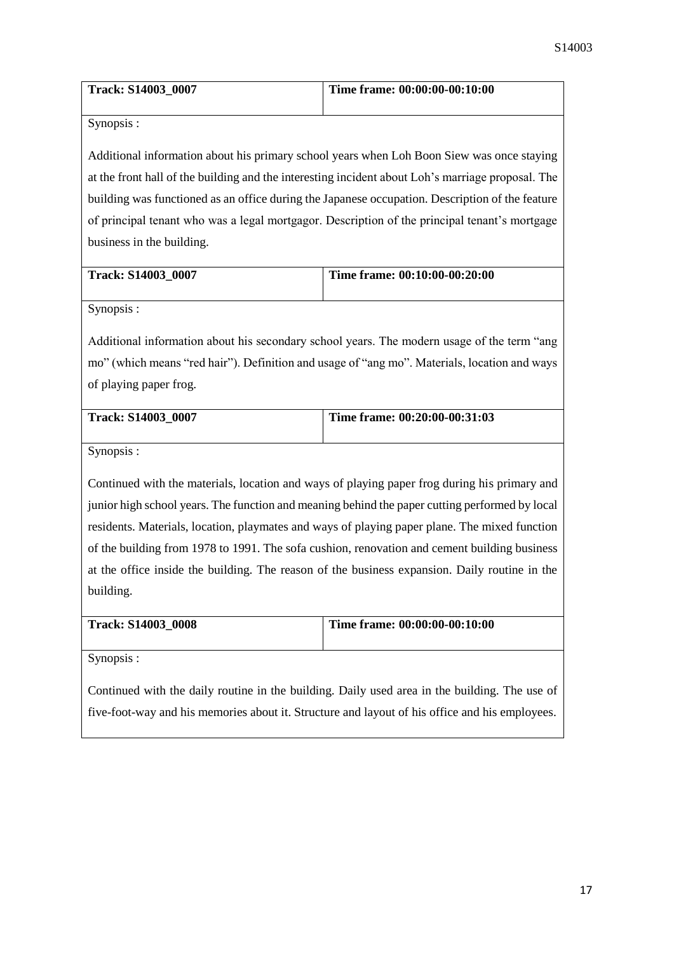| <b>Track: S14003 0007</b> | Time frame: $00:00:00-00:10:00$ |
|---------------------------|---------------------------------|
|                           |                                 |

Additional information about his primary school years when Loh Boon Siew was once staying at the front hall of the building and the interesting incident about Loh's marriage proposal. The building was functioned as an office during the Japanese occupation. Description of the feature of principal tenant who was a legal mortgagor. Description of the principal tenant's mortgage business in the building.

| <b>Track: S14003 0007</b> | Time frame: 00:10:00-00:20:00 |
|---------------------------|-------------------------------|
|                           |                               |

Synopsis :

Additional information about his secondary school years. The modern usage of the term "ang mo" (which means "red hair"). Definition and usage of "ang mo". Materials, location and ways of playing paper frog.

| <b>Track: S14003 0007</b> | Time frame: $00:20:00-00:31:03$ |
|---------------------------|---------------------------------|
|                           |                                 |

Synopsis :

Continued with the materials, location and ways of playing paper frog during his primary and junior high school years. The function and meaning behind the paper cutting performed by local residents. Materials, location, playmates and ways of playing paper plane. The mixed function of the building from 1978 to 1991. The sofa cushion, renovation and cement building business at the office inside the building. The reason of the business expansion. Daily routine in the building.

| <b>Track: S14003 0008</b> | Time frame: 00:00:00-00:10:00 |
|---------------------------|-------------------------------|
|                           |                               |

Synopsis :

Continued with the daily routine in the building. Daily used area in the building. The use of five-foot-way and his memories about it. Structure and layout of his office and his employees.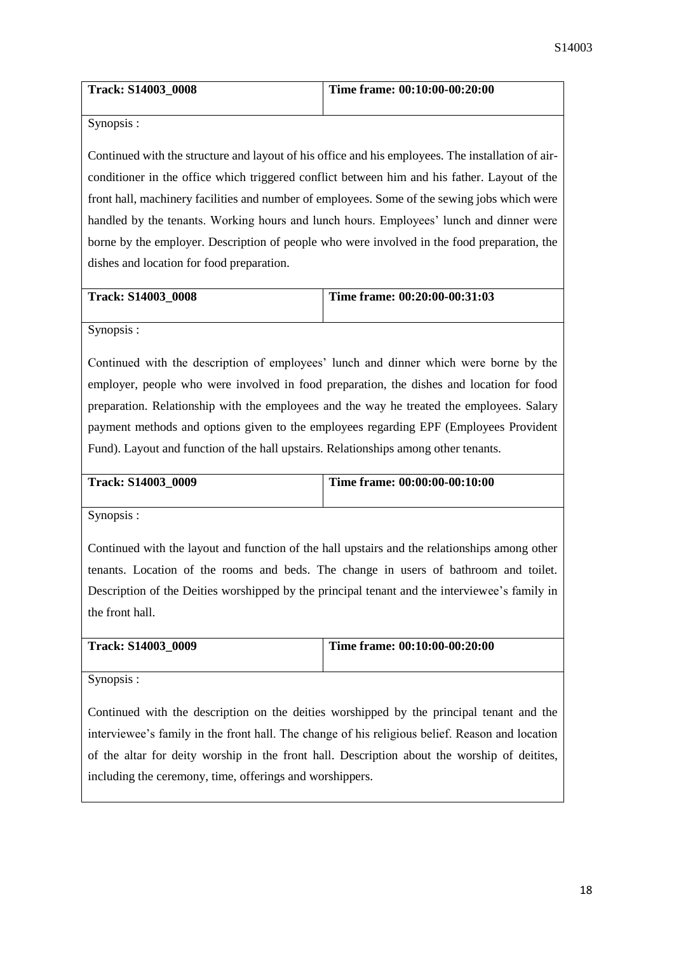| <b>Track: S14003 0008</b> | Time frame: 00:10:00-00:20:00 |
|---------------------------|-------------------------------|
|                           |                               |

Continued with the structure and layout of his office and his employees. The installation of airconditioner in the office which triggered conflict between him and his father. Layout of the front hall, machinery facilities and number of employees. Some of the sewing jobs which were handled by the tenants. Working hours and lunch hours. Employees' lunch and dinner were borne by the employer. Description of people who were involved in the food preparation, the dishes and location for food preparation.

| <b>Track: S14003 0008</b> | Time frame: 00:20:00-00:31:03 |
|---------------------------|-------------------------------|
|                           |                               |

Synopsis :

Continued with the description of employees' lunch and dinner which were borne by the employer, people who were involved in food preparation, the dishes and location for food preparation. Relationship with the employees and the way he treated the employees. Salary payment methods and options given to the employees regarding EPF (Employees Provident Fund). Layout and function of the hall upstairs. Relationships among other tenants.

| <b>Track: S14003 0009</b> | Time frame: 00:00:00-00:10:00 |
|---------------------------|-------------------------------|
|                           |                               |

Synopsis :

Continued with the layout and function of the hall upstairs and the relationships among other tenants. Location of the rooms and beds. The change in users of bathroom and toilet. Description of the Deities worshipped by the principal tenant and the interviewee's family in the front hall.

| <b>Track: S14003 0009</b> | Time frame: 00:10:00-00:20:00 |
|---------------------------|-------------------------------|
|                           |                               |

Synopsis :

Continued with the description on the deities worshipped by the principal tenant and the interviewee's family in the front hall. The change of his religious belief. Reason and location of the altar for deity worship in the front hall. Description about the worship of deitites, including the ceremony, time, offerings and worshippers.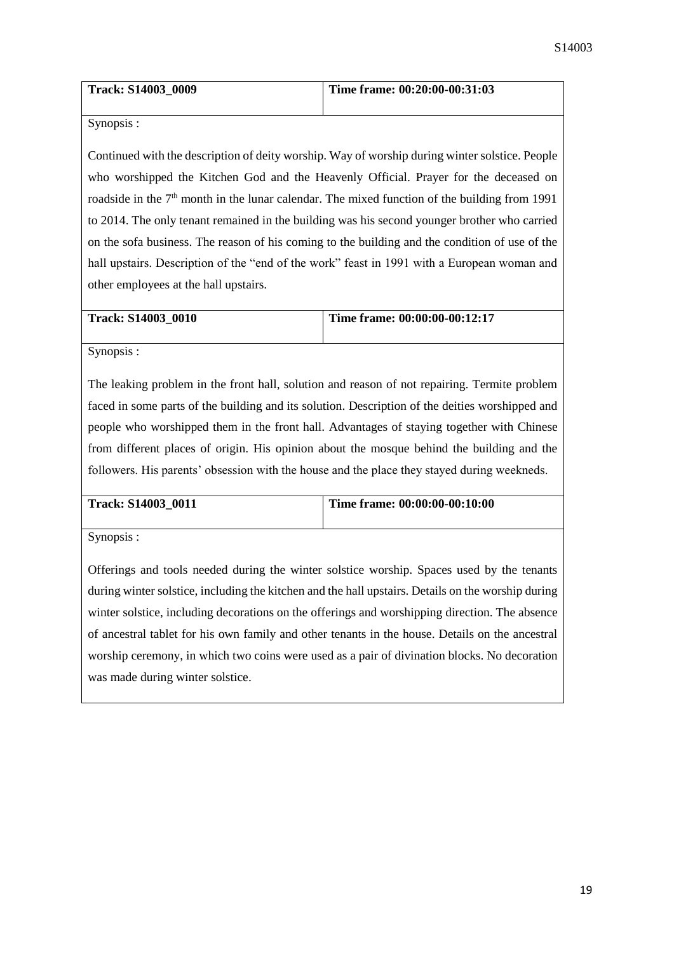| <b>Track: S14003 0009</b> | Time frame: 00:20:00-00:31:03 |
|---------------------------|-------------------------------|
|                           |                               |

Continued with the description of deity worship. Way of worship during winter solstice. People who worshipped the Kitchen God and the Heavenly Official. Prayer for the deceased on roadside in the  $7<sup>th</sup>$  month in the lunar calendar. The mixed function of the building from 1991 to 2014. The only tenant remained in the building was his second younger brother who carried on the sofa business. The reason of his coming to the building and the condition of use of the hall upstairs. Description of the "end of the work" feast in 1991 with a European woman and other employees at the hall upstairs.

|  | <b>Track: S14003 0010</b> |  |
|--|---------------------------|--|
|--|---------------------------|--|

## **Time frame: 00:00:00-00:12:17**

Synopsis :

The leaking problem in the front hall, solution and reason of not repairing. Termite problem faced in some parts of the building and its solution. Description of the deities worshipped and people who worshipped them in the front hall. Advantages of staying together with Chinese from different places of origin. His opinion about the mosque behind the building and the followers. His parents' obsession with the house and the place they stayed during weekneds.

| Track: S14003 0011 | Time frame: 00:00:00-00:10:00 |
|--------------------|-------------------------------|
|--------------------|-------------------------------|

Synopsis :

Offerings and tools needed during the winter solstice worship. Spaces used by the tenants during winter solstice, including the kitchen and the hall upstairs. Details on the worship during winter solstice, including decorations on the offerings and worshipping direction. The absence of ancestral tablet for his own family and other tenants in the house. Details on the ancestral worship ceremony, in which two coins were used as a pair of divination blocks. No decoration was made during winter solstice.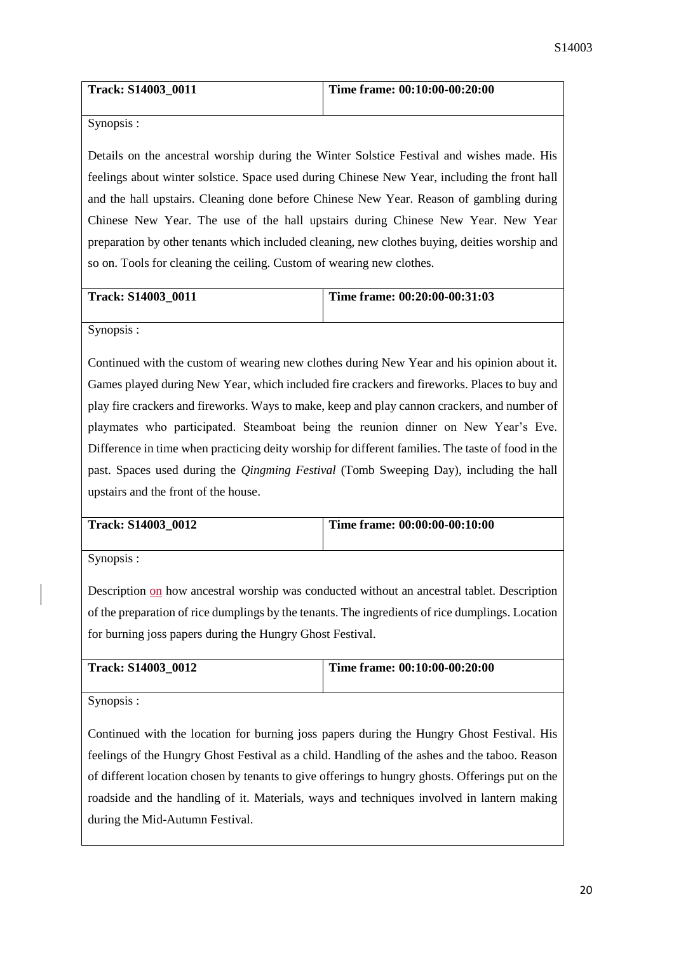| <b>Track: S14003 0011</b> | Time frame: 00:10:00-00:20:00 |
|---------------------------|-------------------------------|
|                           |                               |

Details on the ancestral worship during the Winter Solstice Festival and wishes made. His feelings about winter solstice. Space used during Chinese New Year, including the front hall and the hall upstairs. Cleaning done before Chinese New Year. Reason of gambling during Chinese New Year. The use of the hall upstairs during Chinese New Year. New Year preparation by other tenants which included cleaning, new clothes buying, deities worship and so on. Tools for cleaning the ceiling. Custom of wearing new clothes.

| <b>Track: S14003 0011</b> | Time frame: $00:20:00-00:31:03$ |
|---------------------------|---------------------------------|
|                           |                                 |

Synopsis :

Continued with the custom of wearing new clothes during New Year and his opinion about it. Games played during New Year, which included fire crackers and fireworks. Places to buy and play fire crackers and fireworks. Ways to make, keep and play cannon crackers, and number of playmates who participated. Steamboat being the reunion dinner on New Year's Eve. Difference in time when practicing deity worship for different families. The taste of food in the past. Spaces used during the *Qingming Festival* (Tomb Sweeping Day), including the hall upstairs and the front of the house.

| Track: S14003 0012 | Time frame: 00:00:00-00:10:00 |
|--------------------|-------------------------------|
|                    |                               |

Synopsis :

Description on how ancestral worship was conducted without an ancestral tablet. Description of the preparation of rice dumplings by the tenants. The ingredients of rice dumplings. Location for burning joss papers during the Hungry Ghost Festival.

| Track: S14003 0012 | Time frame: 00:10:00-00:20:00 |
|--------------------|-------------------------------|
|--------------------|-------------------------------|

Synopsis :

Continued with the location for burning joss papers during the Hungry Ghost Festival. His feelings of the Hungry Ghost Festival as a child. Handling of the ashes and the taboo. Reason of different location chosen by tenants to give offerings to hungry ghosts. Offerings put on the roadside and the handling of it. Materials, ways and techniques involved in lantern making during the Mid-Autumn Festival.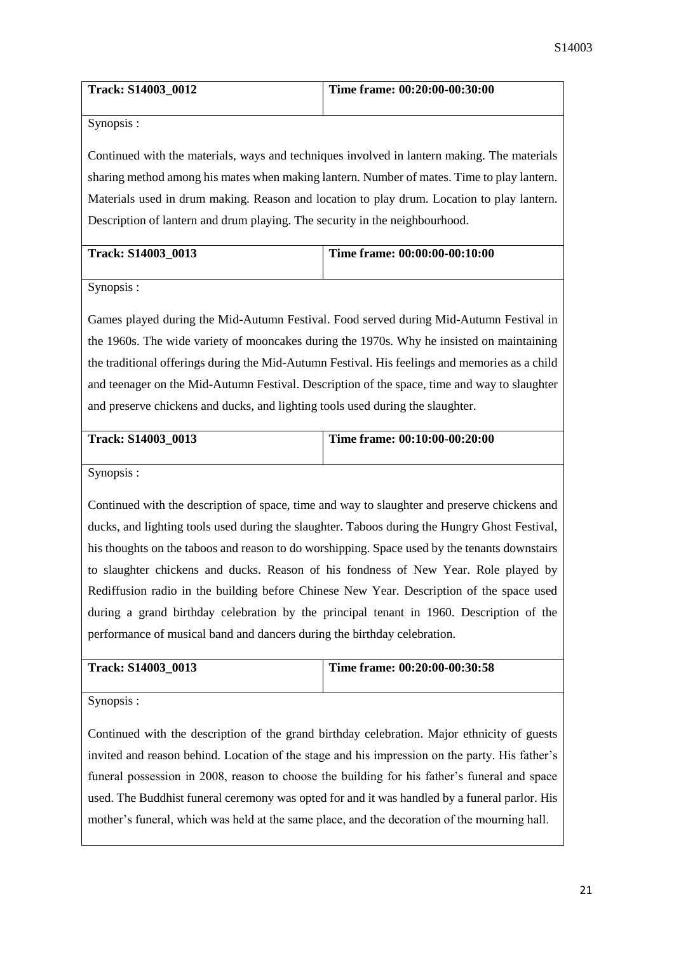| Track: S14003 0012 | Time frame: 00:20:00-00:30:00 |
|--------------------|-------------------------------|
|                    |                               |

Continued with the materials, ways and techniques involved in lantern making. The materials sharing method among his mates when making lantern. Number of mates. Time to play lantern. Materials used in drum making. Reason and location to play drum. Location to play lantern. Description of lantern and drum playing. The security in the neighbourhood.

| <b>Track: S14003 0013</b> | Time frame: $00:00:00-00:10:00$ |
|---------------------------|---------------------------------|
|                           |                                 |

Synopsis :

Games played during the Mid-Autumn Festival. Food served during Mid-Autumn Festival in the 1960s. The wide variety of mooncakes during the 1970s. Why he insisted on maintaining the traditional offerings during the Mid-Autumn Festival. His feelings and memories as a child and teenager on the Mid-Autumn Festival. Description of the space, time and way to slaughter and preserve chickens and ducks, and lighting tools used during the slaughter.

| Track: S14003 0013 | Time frame: 00:10:00-00:20:00 |
|--------------------|-------------------------------|
|                    |                               |

Synopsis :

Continued with the description of space, time and way to slaughter and preserve chickens and ducks, and lighting tools used during the slaughter. Taboos during the Hungry Ghost Festival, his thoughts on the taboos and reason to do worshipping. Space used by the tenants downstairs to slaughter chickens and ducks. Reason of his fondness of New Year. Role played by Rediffusion radio in the building before Chinese New Year. Description of the space used during a grand birthday celebration by the principal tenant in 1960. Description of the performance of musical band and dancers during the birthday celebration.

| <b>Track: S14003 0013</b> | Time frame: 00:20:00-00:30:58 |
|---------------------------|-------------------------------|
|                           |                               |

Synopsis :

Continued with the description of the grand birthday celebration. Major ethnicity of guests invited and reason behind. Location of the stage and his impression on the party. His father's funeral possession in 2008, reason to choose the building for his father's funeral and space used. The Buddhist funeral ceremony was opted for and it was handled by a funeral parlor. His mother's funeral, which was held at the same place, and the decoration of the mourning hall.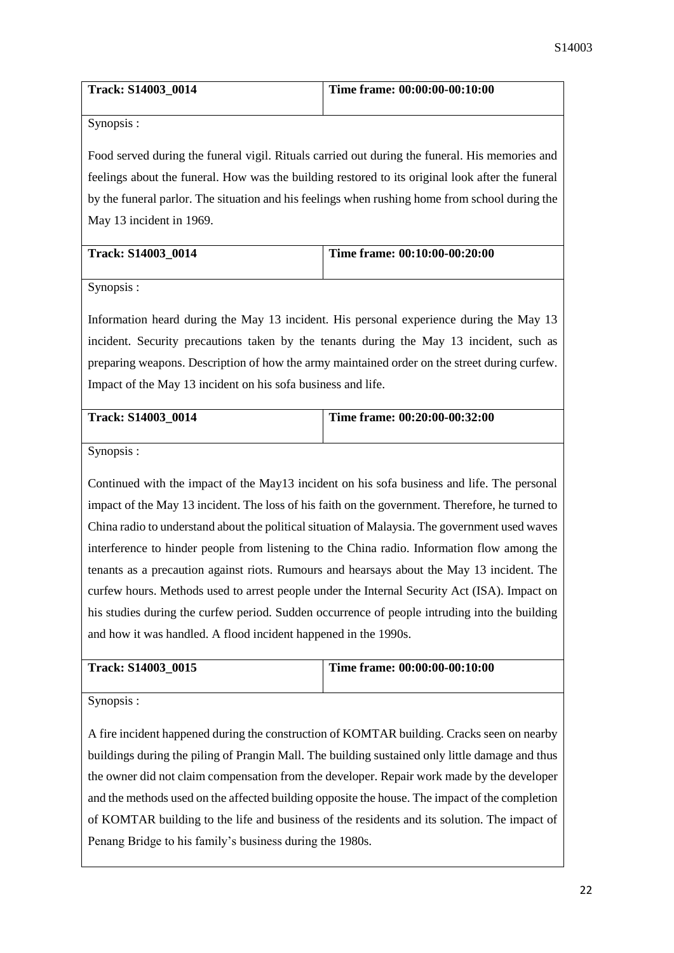| <b>Track: S14003 0014</b> | Time frame: 00:00:00-00:10:00 |
|---------------------------|-------------------------------|
|                           |                               |

Food served during the funeral vigil. Rituals carried out during the funeral. His memories and feelings about the funeral. How was the building restored to its original look after the funeral by the funeral parlor. The situation and his feelings when rushing home from school during the May 13 incident in 1969.

| <b>Track: S14003 0014</b> | Time frame: $00:10:00-00:20:00$ |
|---------------------------|---------------------------------|
|                           |                                 |

Synopsis :

Information heard during the May 13 incident. His personal experience during the May 13 incident. Security precautions taken by the tenants during the May 13 incident, such as preparing weapons. Description of how the army maintained order on the street during curfew. Impact of the May 13 incident on his sofa business and life.

| <b>Track: S14003 0014</b> | Time frame: 00:20:00-00:32:00 |
|---------------------------|-------------------------------|
|                           |                               |

Synopsis :

Continued with the impact of the May13 incident on his sofa business and life. The personal impact of the May 13 incident. The loss of his faith on the government. Therefore, he turned to China radio to understand about the political situation of Malaysia. The government used waves interference to hinder people from listening to the China radio. Information flow among the tenants as a precaution against riots. Rumours and hearsays about the May 13 incident. The curfew hours. Methods used to arrest people under the Internal Security Act (ISA). Impact on his studies during the curfew period. Sudden occurrence of people intruding into the building and how it was handled. A flood incident happened in the 1990s.

| Track: S14003 0015 | Time frame: 00:00:00-00:10:00 |
|--------------------|-------------------------------|
|                    |                               |

Synopsis :

A fire incident happened during the construction of KOMTAR building. Cracks seen on nearby buildings during the piling of Prangin Mall. The building sustained only little damage and thus the owner did not claim compensation from the developer. Repair work made by the developer and the methods used on the affected building opposite the house. The impact of the completion of KOMTAR building to the life and business of the residents and its solution. The impact of Penang Bridge to his family's business during the 1980s.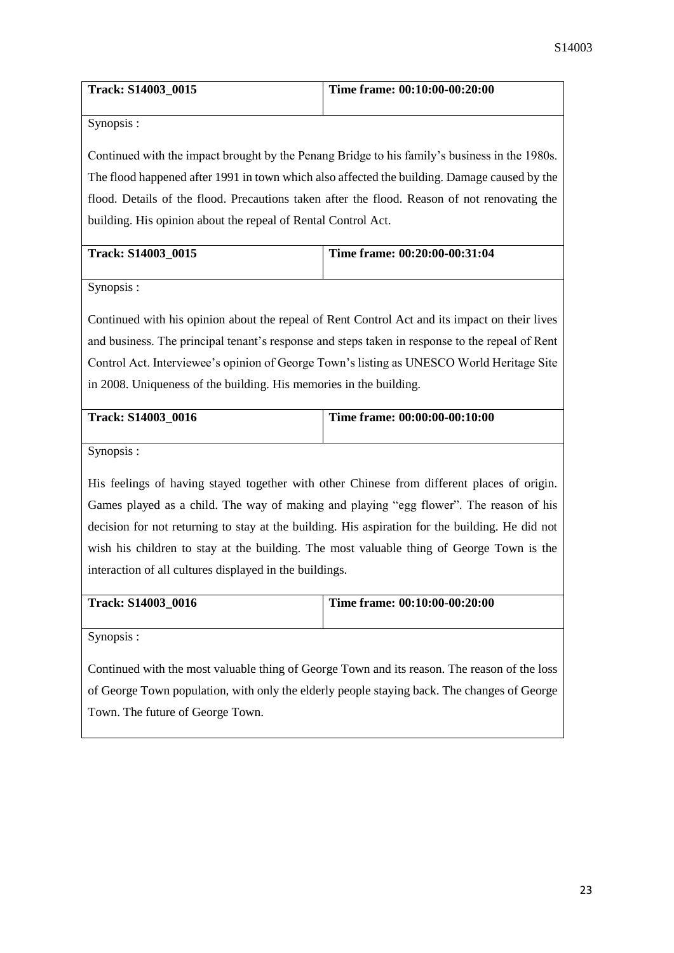| Track: S14003 0015 | Time frame: 00:10:00-00:20:00 |
|--------------------|-------------------------------|
|                    |                               |

Continued with the impact brought by the Penang Bridge to his family's business in the 1980s. The flood happened after 1991 in town which also affected the building. Damage caused by the flood. Details of the flood. Precautions taken after the flood. Reason of not renovating the building. His opinion about the repeal of Rental Control Act.

| <b>Track: S14003 0015</b> | Time frame: 00:20:00-00:31:04 |
|---------------------------|-------------------------------|
|                           |                               |

Synopsis :

Continued with his opinion about the repeal of Rent Control Act and its impact on their lives and business. The principal tenant's response and steps taken in response to the repeal of Rent Control Act. Interviewee's opinion of George Town's listing as UNESCO World Heritage Site in 2008. Uniqueness of the building. His memories in the building.

| Track: S14003 0016 | Time frame: 00:00:00-00:10:00 |
|--------------------|-------------------------------|
|                    |                               |

Synopsis :

His feelings of having stayed together with other Chinese from different places of origin. Games played as a child. The way of making and playing "egg flower". The reason of his decision for not returning to stay at the building. His aspiration for the building. He did not wish his children to stay at the building. The most valuable thing of George Town is the interaction of all cultures displayed in the buildings.

| Time frame: 00:10:00-00:20:00 |
|-------------------------------|
|                               |
|                               |

Synopsis :

Continued with the most valuable thing of George Town and its reason. The reason of the loss of George Town population, with only the elderly people staying back. The changes of George Town. The future of George Town.